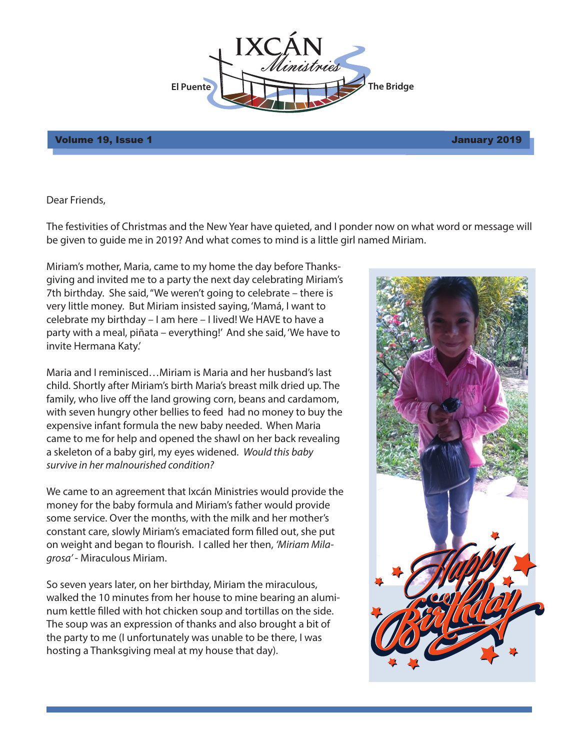

## Volume 19, Issue 1 January 2019

Dear Friends,

The festivities of Christmas and the New Year have quieted, and I ponder now on what word or message will be given to guide me in 2019? And what comes to mind is a little girl named Miriam.

Miriam's mother, Maria, came to my home the day before Thanksgiving and invited me to a party the next day celebrating Miriam's 7th birthday. She said, "We weren't going to celebrate – there is very little money. But Miriam insisted saying, 'Mamá, I want to celebrate my birthday – I am here – I lived! We HAVE to have a party with a meal, piñata – everything!' And she said, 'We have to invite Hermana Katy.'

Maria and I reminisced…Miriam is Maria and her husband's last child. Shortly after Miriam's birth Maria's breast milk dried up. The family, who live off the land growing corn, beans and cardamom, with seven hungry other bellies to feed had no money to buy the expensive infant formula the new baby needed. When Maria came to me for help and opened the shawl on her back revealing a skeleton of a baby girl, my eyes widened. *Would this baby survive in her malnourished condition?*

We came to an agreement that Ixcán Ministries would provide the money for the baby formula and Miriam's father would provide some service. Over the months, with the milk and her mother's constant care, slowly Miriam's emaciated form filled out, she put on weight and began to flourish. I called her then, 'Miriam Mila*grosa'* - Miraculous Miriam.

So seven years later, on her birthday, Miriam the miraculous, walked the 10 minutes from her house to mine bearing an aluminum kettle filled with hot chicken soup and tortillas on the side. The soup was an expression of thanks and also brought a bit of the party to me (I unfortunately was unable to be there, I was hosting a Thanksgiving meal at my house that day).